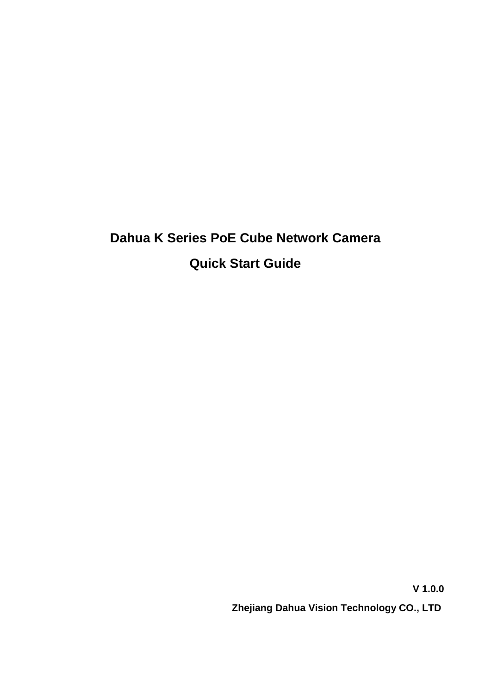# **Dahua K Series PoE Cube Network Camera Quick Start Guide**

**V 1.0.0 Zhejiang Dahua Vision Technology CO., LTD**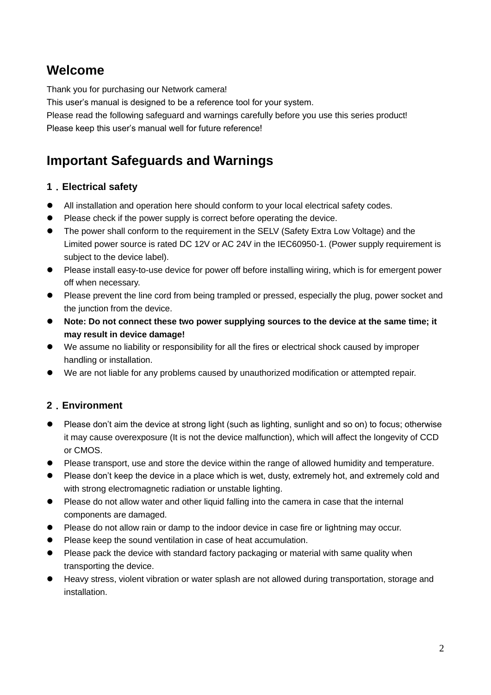## **Welcome**

Thank you for purchasing our Network camera!

This user's manual is designed to be a reference tool for your system.

Please read the following safeguard and warnings carefully before you use this series product! Please keep this user's manual well for future reference!

# **Important Safeguards and Warnings**

#### **1**.**Electrical safety**

- All installation and operation here should conform to your local electrical safety codes.
- Please check if the power supply is correct before operating the device.
- The power shall conform to the requirement in the SELV (Safety Extra Low Voltage) and the Limited power source is rated DC 12V or AC 24V in the IEC60950-1. (Power supply requirement is subject to the device label).
- Please install easy-to-use device for power off before installing wiring, which is for emergent power off when necessary.
- Please prevent the line cord from being trampled or pressed, especially the plug, power socket and the junction from the device.
- **Note: Do not connect these two power supplying sources to the device at the same time; it may result in device damage!**
- We assume no liability or responsibility for all the fires or electrical shock caused by improper handling or installation.
- We are not liable for any problems caused by unauthorized modification or attempted repair.

### **2**.**Environment**

- Please don't aim the device at strong light (such as lighting, sunlight and so on) to focus; otherwise it may cause overexposure (It is not the device malfunction), which will affect the longevity of CCD or CMOS.
- Please transport, use and store the device within the range of allowed humidity and temperature.
- Please don't keep the device in a place which is wet, dusty, extremely hot, and extremely cold and with strong electromagnetic radiation or unstable lighting.
- Please do not allow water and other liquid falling into the camera in case that the internal components are damaged.
- **•** Please do not allow rain or damp to the indoor device in case fire or lightning may occur.
- Please keep the sound ventilation in case of heat accumulation.
- Please pack the device with standard factory packaging or material with same quality when transporting the device.
- Heavy stress, violent vibration or water splash are not allowed during transportation, storage and installation.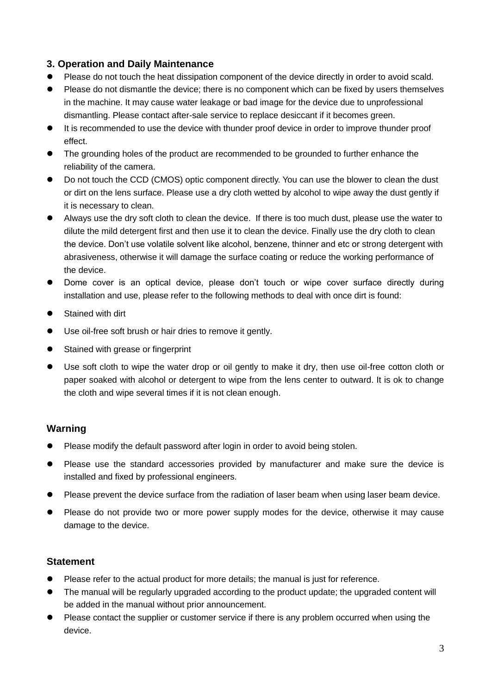#### **3. Operation and Daily Maintenance**

- Please do not touch the heat dissipation component of the device directly in order to avoid scald.
- Please do not dismantle the device; there is no component which can be fixed by users themselves in the machine. It may cause water leakage or bad image for the device due to unprofessional dismantling. Please contact after-sale service to replace desiccant if it becomes green.
- It is recommended to use the device with thunder proof device in order to improve thunder proof effect.
- The grounding holes of the product are recommended to be grounded to further enhance the reliability of the camera.
- Do not touch the CCD (CMOS) optic component directly. You can use the blower to clean the dust or dirt on the lens surface. Please use a dry cloth wetted by alcohol to wipe away the dust gently if it is necessary to clean.
- Always use the dry soft cloth to clean the device. If there is too much dust, please use the water to dilute the mild detergent first and then use it to clean the device. Finally use the dry cloth to clean the device. Don't use volatile solvent like alcohol, benzene, thinner and etc or strong detergent with abrasiveness, otherwise it will damage the surface coating or reduce the working performance of the device.
- Dome cover is an optical device, please don't touch or wipe cover surface directly during installation and use, please refer to the following methods to deal with once dirt is found:
- Stained with dirt
- Use oil-free soft brush or hair dries to remove it gently.
- Stained with grease or fingerprint
- Use soft cloth to wipe the water drop or oil gently to make it dry, then use oil-free cotton cloth or paper soaked with alcohol or detergent to wipe from the lens center to outward. It is ok to change the cloth and wipe several times if it is not clean enough.

#### **Warning**

- Please modify the default password after login in order to avoid being stolen.
- Please use the standard accessories provided by manufacturer and make sure the device is installed and fixed by professional engineers.
- Please prevent the device surface from the radiation of laser beam when using laser beam device.
- Please do not provide two or more power supply modes for the device, otherwise it may cause damage to the device.

#### **Statement**

- Please refer to the actual product for more details; the manual is just for reference.
- The manual will be regularly upgraded according to the product update; the upgraded content will be added in the manual without prior announcement.
- Please contact the supplier or customer service if there is any problem occurred when using the device.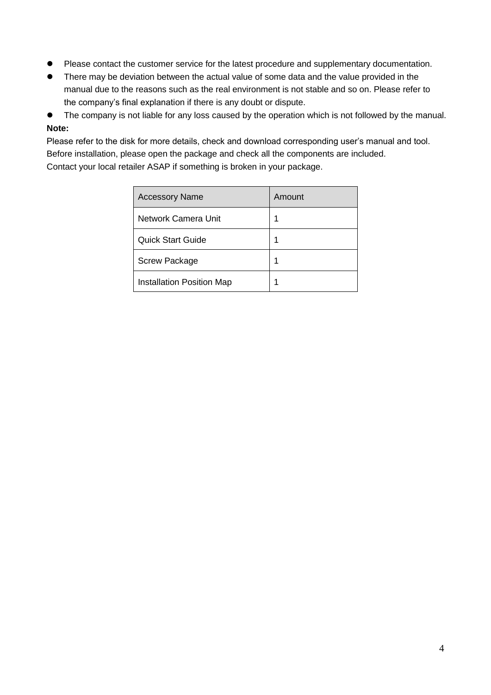- **•** Please contact the customer service for the latest procedure and supplementary documentation.
- There may be deviation between the actual value of some data and the value provided in the manual due to the reasons such as the real environment is not stable and so on. Please refer to the company's final explanation if there is any doubt or dispute.
- The company is not liable for any loss caused by the operation which is not followed by the manual. **Note:**

Please refer to the disk for more details, check and download corresponding user's manual and tool. Before installation, please open the package and check all the components are included. Contact your local retailer ASAP if something is broken in your package.

| <b>Accessory Name</b>            | Amount |
|----------------------------------|--------|
| Network Camera Unit              | 1      |
| <b>Quick Start Guide</b>         | 1      |
| <b>Screw Package</b>             | 1      |
| <b>Installation Position Map</b> |        |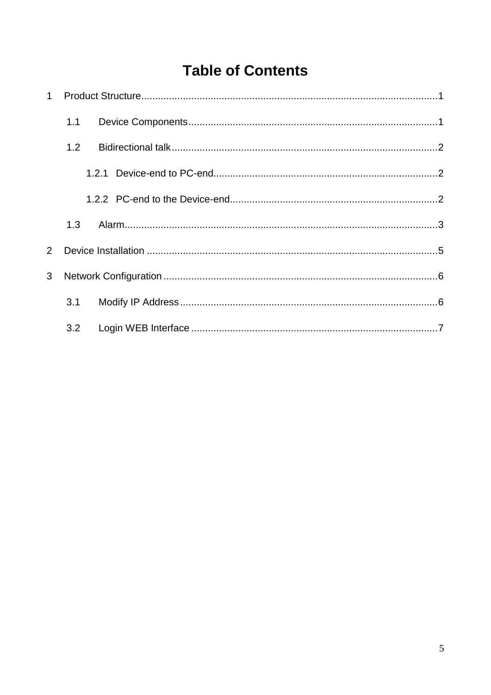# **Table of Contents**

|                | 1.1 |  |
|----------------|-----|--|
|                | 1.2 |  |
|                |     |  |
|                |     |  |
|                | 1.3 |  |
| $\overline{2}$ |     |  |
| 3              |     |  |
|                | 3.1 |  |
|                | 3.2 |  |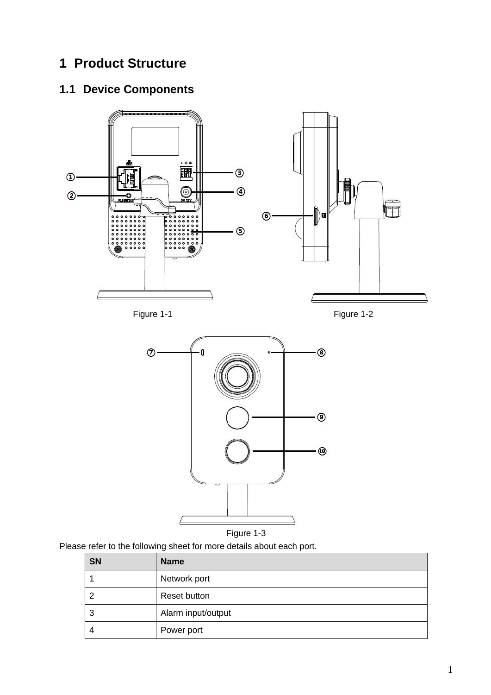# <span id="page-5-0"></span>**1 Product Structure**

# <span id="page-5-1"></span>**1.1 Device Components**





Figure 1-3

Please refer to the following sheet for more details about each port.

| <b>SN</b> | <b>Name</b>        |
|-----------|--------------------|
|           | Network port       |
|           | Reset button       |
| 3         | Alarm input/output |
| 4         | Power port         |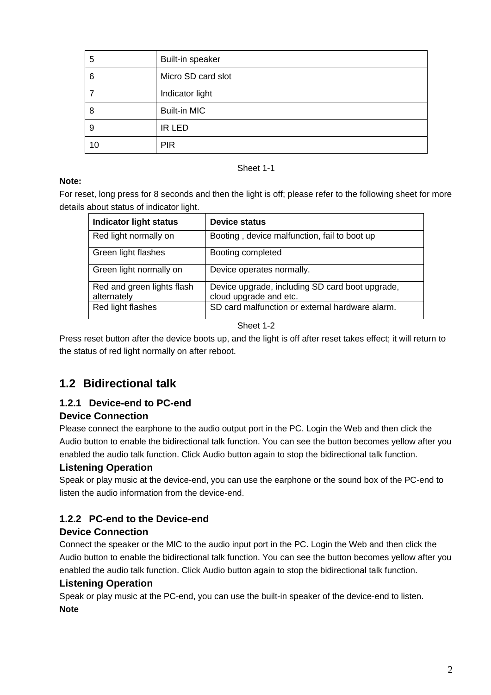| 5  | Built-in speaker    |
|----|---------------------|
| 6  | Micro SD card slot  |
|    | Indicator light     |
| 8  | <b>Built-in MIC</b> |
| 9  | <b>IR LED</b>       |
| 10 | <b>PIR</b>          |

#### **Note:**

For reset, long press for 8 seconds and then the light is off; please refer to the following sheet for more details about status of indicator light.

Sheet 1-1

| <b>Indicator light status</b>             | <b>Device status</b>                                                      |
|-------------------------------------------|---------------------------------------------------------------------------|
| Red light normally on                     | Booting, device malfunction, fail to boot up                              |
| Green light flashes                       | Booting completed                                                         |
| Green light normally on                   | Device operates normally.                                                 |
| Red and green lights flash<br>alternately | Device upgrade, including SD card boot upgrade,<br>cloud upgrade and etc. |
| Red light flashes                         | SD card malfunction or external hardware alarm.                           |

Sheet 1-2

Press reset button after the device boots up, and the light is off after reset takes effect; it will return to the status of red light normally on after reboot.

### <span id="page-6-0"></span>**1.2 Bidirectional talk**

### <span id="page-6-1"></span>**1.2.1 Device-end to PC-end**

#### **Device Connection**

Please connect the earphone to the audio output port in the PC. Login the Web and then click the Audio button to enable the bidirectional talk function. You can see the button becomes yellow after you enabled the audio talk function. Click Audio button again to stop the bidirectional talk function.

#### **Listening Operation**

Speak or play music at the device-end, you can use the earphone or the sound box of the PC-end to listen the audio information from the device-end.

#### <span id="page-6-2"></span>**1.2.2 PC-end to the Device-end**

#### **Device Connection**

Connect the speaker or the MIC to the audio input port in the PC. Login the Web and then click the Audio button to enable the bidirectional talk function. You can see the button becomes yellow after you enabled the audio talk function. Click Audio button again to stop the bidirectional talk function.

#### **Listening Operation**

Speak or play music at the PC-end, you can use the built-in speaker of the device-end to listen. **Note**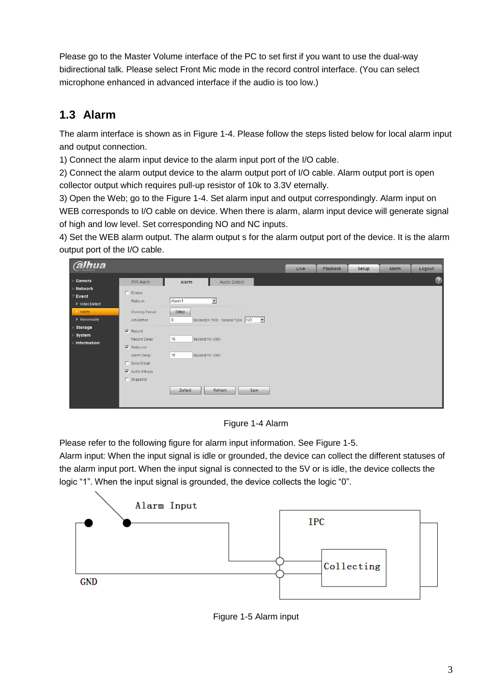Please go to the Master Volume interface of the PC to set first if you want to use the dual-way bidirectional talk. Please select Front Mic mode in the record control interface. (You can select microphone enhanced in advanced interface if the audio is too low.)

### <span id="page-7-0"></span>**1.3 Alarm**

The alarm interface is shown as in [Figure 1-4](#page-7-1). Please follow the steps listed below for local alarm input and output connection.

1) Connect the alarm input device to the alarm input port of the I/O cable.

2) Connect the alarm output device to the alarm output port of I/O cable. Alarm output port is open collector output which requires pull-up resistor of 10k to 3.3V eternally.

3) Open the Web; go to the [Figure 1-4](#page-7-1). Set alarm input and output correspondingly. Alarm input on WEB corresponds to I/O cable on device. When there is alarm, alarm input device will generate signal of high and low level. Set corresponding NO and NC inputs.

4) Set the WEB alarm output. The alarm output s for the alarm output port of the device. It is the alarm output port of the I/O cable.



Figure 1-4 Alarm

<span id="page-7-1"></span>Please refer to the following figure for alarm input information. See [Figure 1-5](#page-7-2).

Alarm input: When the input signal is idle or grounded, the device can collect the different statuses of the alarm input port. When the input signal is connected to the 5V or is idle, the device collects the logic "1". When the input signal is grounded, the device collects the logic "0".

<span id="page-7-2"></span>

Figure 1-5 Alarm input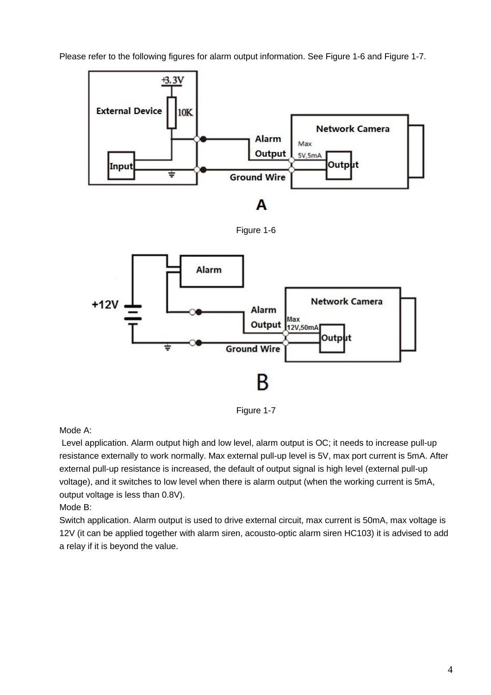Please refer to the following figures for alarm output information. See [Figure 1-6](#page-8-0) and Figure 1-7.

<span id="page-8-0"></span>

Figure 1-7

Mode A:

Level application. Alarm output high and low level, alarm output is OC; it needs to increase pull-up resistance externally to work normally. Max external pull-up level is 5V, max port current is 5mA. After external pull-up resistance is increased, the default of output signal is high level (external pull-up voltage), and it switches to low level when there is alarm output (when the working current is 5mA, output voltage is less than 0.8V).

Mode B:

Switch application. Alarm output is used to drive external circuit, max current is 50mA, max voltage is 12V (it can be applied together with alarm siren, acousto-optic alarm siren HC103) it is advised to add a relay if it is beyond the value.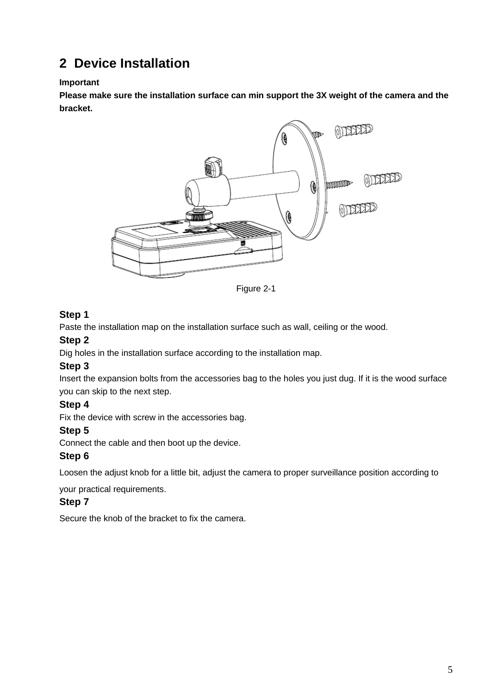# <span id="page-9-0"></span>**2 Device Installation**

#### **Important**

**Please make sure the installation surface can min support the 3X weight of the camera and the bracket.** 



Figure 2-1

#### **Step 1**

Paste the installation map on the installation surface such as wall, ceiling or the wood.

#### **Step 2**

Dig holes in the installation surface according to the installation map.

#### **Step 3**

Insert the expansion bolts from the accessories bag to the holes you just dug. If it is the wood surface you can skip to the next step.

#### **Step 4**

Fix the device with screw in the accessories bag.

#### **Step 5**

Connect the cable and then boot up the device.

#### **Step 6**

Loosen the adjust knob for a little bit, adjust the camera to proper surveillance position according to

your practical requirements.

#### **Step 7**

Secure the knob of the bracket to fix the camera.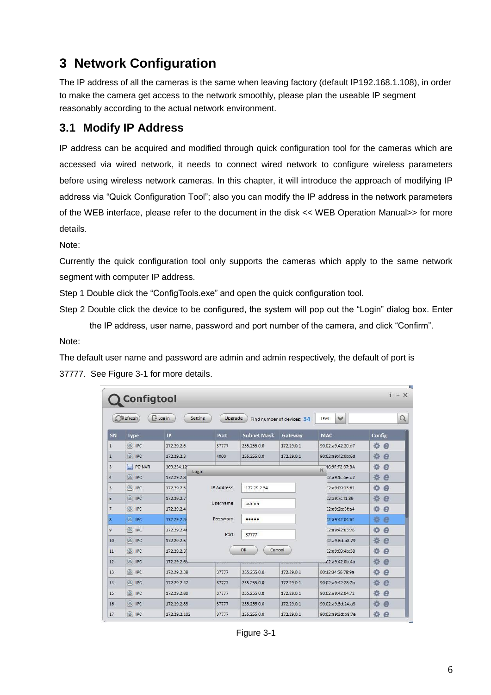# <span id="page-10-0"></span>**3 Network Configuration**

The IP address of all the cameras is the same when leaving factory (default IP192.168.1.108), in order to make the camera get access to the network smoothly, please plan the useable IP segment reasonably according to the actual network environment.

### <span id="page-10-1"></span>**3.1 Modify IP Address**

IP address can be acquired and modified through quick configuration tool for the cameras which are accessed via wired network, it needs to connect wired network to configure wireless parameters before using wireless network cameras. In this chapter, it will introduce the approach of modifying IP address via "Quick Configuration Tool"; also you can modify the IP address in the network parameters of the WEB interface, please refer to the document in the disk << WEB Operation Manual>> for more details.

Note:

Currently the quick configuration tool only supports the cameras which apply to the same network segment with computer IP address.

Step 1 Double click the "ConfigTools.exe" and open the quick configuration tool.

Step 2 Double click the device to be configured, the system will pop out the "Login" dialog box. Enter the IP address, user name, password and port number of the camera, and click "Confirm".

Note:

The default user name and password are admin and admin respectively, the default of port is 37777. See Figure 3-1 for more details.

| $- x$<br><b>Configtool</b> |                              |                      |                                      |                    |                            |                                  |        |  |
|----------------------------|------------------------------|----------------------|--------------------------------------|--------------------|----------------------------|----------------------------------|--------|--|
|                            | Refresh                      | $F$ Login<br>Setting | Upgrade                              |                    | Find number of devices: 34 | $\checkmark$<br>IP <sub>v4</sub> | Q      |  |
| SN                         | <b>Type</b>                  | IP                   | Port                                 | <b>Subnet Mask</b> | Gateway                    | <b>MAC</b>                       | Config |  |
| $\mathbf{1}$               | C IPC                        | 172.29.2.6           | 37777                                | 255.255.0.0        | 172, 29.0.1                | 90:02:a9:42:20:d7                | 瓷<br>e |  |
| $\overline{2}$             | Q IPC                        | 172.29.2.3           | 4000                                 | 255.255.0.0        | 172.29.0.1                 | 90:02:a9:42:0b:6d                | 嚢<br>e |  |
| 3                          | e<br>PC-NVR                  | 169.254.12           | 烧<br>e<br>16:9F:F2:37:BA<br>$\times$ |                    |                            |                                  |        |  |
| $\Delta$                   | $\circledcirc$ IPC           | Login<br>172.29.2.8  |                                      |                    |                            | 02:a9:1c:6e:d2                   | 烧<br>e |  |
| 5                          | <b>Q</b> IPC                 | 172.29.2.5           | <b>IP Address</b><br>172.29.2.34     |                    | 02:a9:09:13:62             | 寮<br>e                           |        |  |
| 6                          | $Q$ , IPC                    | 172.29.2.7           |                                      |                    |                            | 02:a9:7c:f1:39                   | 烧<br>e |  |
| $\overline{7}$             | <b>O</b> IPC                 | 172.29.2.4           | Username<br>admin                    |                    | 02:a9:2b:3f:a4             | 寮<br>e                           |        |  |
| 8                          | $Q$ IPC                      | 172.29.2.34          | Password                             |                    |                            | 12:a9:42:04:6f                   | 资<br>e |  |
| 9                          | $\circledcirc$<br><b>IPC</b> | 172.29.2.4           |                                      |                    | 02:a9:42:63:76             | 券<br>e                           |        |  |
| 10                         | Q IPC                        | 172 29 2 5           | Port<br>37777                        |                    |                            | 02:a9:3d:b8:79                   | 寮<br>e |  |
| 11                         | <b>O</b> IPC                 | 172 29 2 3           |                                      | OK                 | Cancel                     | 02:a9:09:4b:38                   | 烧<br>e |  |
| 12                         | C IPC                        | 172.29.2.63          |                                      |                    |                            | 02:a9:42:0b:4a                   | 舂<br>e |  |
| 13                         | Q IPC                        | 172 29 2 38          | 37777                                | 255.255.0.0        | 172.29.0.1                 | 00:12:34:56:78:9a                | 淼<br>e |  |
| 14                         | C IPC                        | 172 29 2 47          | 37777                                | 255 255 0.0        | 172 29 0 1                 | 90:02:a9:42:28:7b                | 资<br>e |  |
| 15                         | <b>OR</b> IPC                | 172.29.2.80          | 37777                                | 255.255.0.0        | 172.29.0.1                 | 90:02:a9:42:04:72                | 烧<br>e |  |
| 16                         | <b>Q</b> IPC                 | 172.29.2.83          | 37777                                | 255.255.0.0        | 172,29.0.1                 | 90:02:a9:3d:24:a3                | 烧<br>e |  |
| 17                         | 愈<br><b>IPC</b>              | 172.29.2.102         | 37777                                | 255.255.0.0        | 172.29.0.1                 | 90:02:a9:3d:b8:7e                | 烧<br>e |  |

Figure 3-1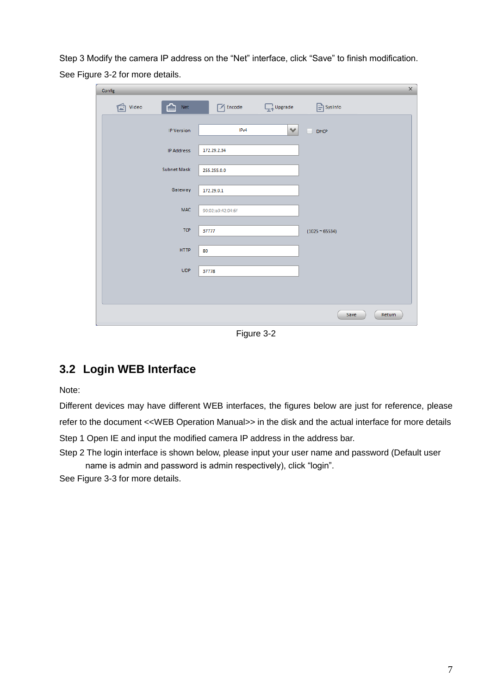Step 3 Modify the camera IP address on the "Net" interface, click "Save" to finish modification. See Figure 3-2 for more details.

| Config                 |                   |                   | $\times$            |
|------------------------|-------------------|-------------------|---------------------|
| ⋒<br>Video<br>Net<br>宧 | $\sqrt{2}$ Encode | <b>Explorance</b> | $\boxed{=}$ SysInfo |
| <b>IP Version</b>      | IPv4              | $\checkmark$      | D HCP               |
| <b>IP Address</b>      | 172.29.2.34       |                   |                     |
| Subnet Mask            | 255.255.0.0       |                   |                     |
| Gateway                | 172.29.0.1        |                   |                     |
| <b>MAC</b>             | 90:02:a9:42:04:6f |                   |                     |
| <b>TCP</b>             | 37777             |                   | $(1025 - 65534)$    |
| <b>HTTP</b>            | 80                |                   |                     |
| <b>UDP</b>             | 37778             |                   |                     |
|                        |                   |                   |                     |
|                        |                   |                   | Save<br>Return      |
|                        |                   |                   |                     |

Figure 3-2

### <span id="page-11-0"></span>**3.2 Login WEB Interface**

Note:

Different devices may have different WEB interfaces, the figures below are just for reference, please refer to the document <<WEB Operation Manual>> in the disk and the actual interface for more details Step 1 Open IE and input the modified camera IP address in the address bar.

Step 2 The login interface is shown below, please input your user name and password (Default user name is admin and password is admin respectively), click "login".

See Figure 3-3 for more details.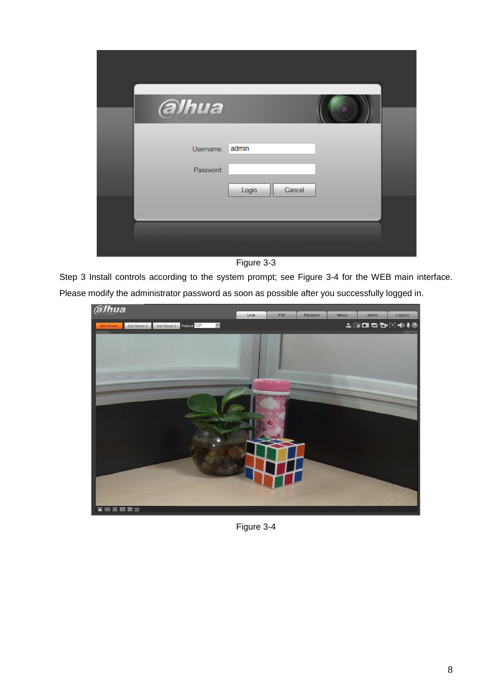| alhua                  |                 |  |
|------------------------|-----------------|--|
| Username:<br>Password: | admin           |  |
|                        | Cancel<br>Login |  |
|                        |                 |  |

Figure 3-3

Step 3 Install controls according to the system prompt; see Figure 3-4 for the WEB main interface. Please modify the administrator password as soon as possible after you successfully logged in.



Figure 3-4